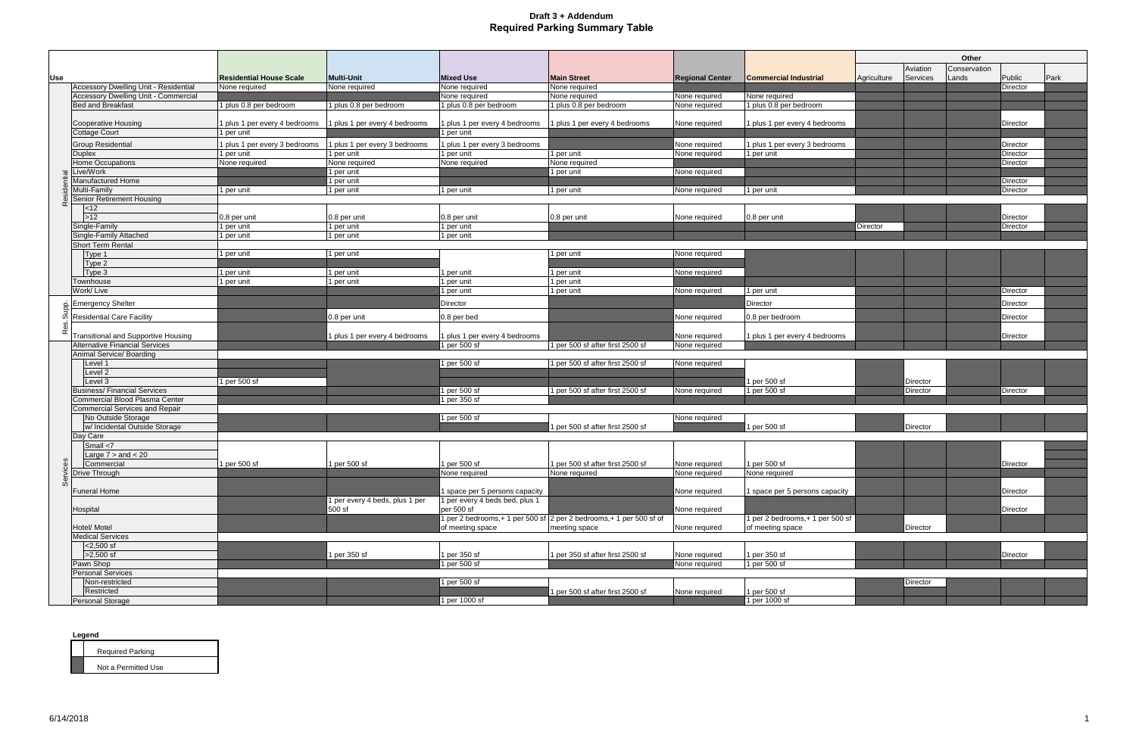|          |                                                                      |                                             |                                             |                                             |                                                                                   |                                |                                 |             |                 | Other        |                             |      |
|----------|----------------------------------------------------------------------|---------------------------------------------|---------------------------------------------|---------------------------------------------|-----------------------------------------------------------------------------------|--------------------------------|---------------------------------|-------------|-----------------|--------------|-----------------------------|------|
|          |                                                                      |                                             |                                             |                                             |                                                                                   |                                |                                 |             | Aviation        | Conservation |                             |      |
| Use      |                                                                      | <b>Residential House Scale</b>              | <b>Multi-Unit</b>                           | <b>Mixed Use</b>                            | <b>Main Street</b>                                                                | <b>Regional Center</b>         | <b>Commercial Industrial</b>    | Agriculture | Services        | Lands        | Public                      | Park |
|          | Accessory Dwelling Unit - Residential                                | None required                               | None required                               | None required                               | None required                                                                     |                                |                                 |             |                 |              | Director                    |      |
|          | Accessory Dwelling Unit - Commercial                                 |                                             |                                             | None required                               | None required                                                                     | None required                  | None required                   |             |                 |              |                             |      |
|          | <b>Bed and Breakfast</b>                                             | 1 plus 0.8 per bedroom                      | 1 plus 0.8 per bedroom                      | 1 plus 0.8 per bedroom                      | 1 plus 0.8 per bedroom                                                            | None required                  | 1 plus 0.8 per bedroom          |             |                 |              |                             |      |
|          |                                                                      |                                             |                                             |                                             |                                                                                   | None required                  |                                 |             |                 |              | Director                    |      |
|          | <b>Cooperative Housing</b><br><b>Cottage Court</b>                   | 1 plus 1 per every 4 bedrooms<br>1 per unit | 1 plus 1 per every 4 bedrooms               | 1 plus 1 per every 4 bedrooms<br>1 per unit | 1 plus 1 per every 4 bedrooms                                                     |                                | 1 plus 1 per every 4 bedrooms   |             |                 |              |                             |      |
|          |                                                                      |                                             |                                             |                                             |                                                                                   |                                |                                 |             |                 |              |                             |      |
|          | <b>Group Residential</b><br><b>Duplex</b>                            | 1 plus 1 per every 3 bedrooms<br>1 per unit | 1 plus 1 per every 3 bedrooms<br>1 per unit | 1 plus 1 per every 3 bedrooms<br>1 per unit | 1 per unit                                                                        | None required<br>None required | 1 plus 1 per every 3 bedrooms   |             |                 |              | <b>Director</b><br>Director |      |
|          | Home Occupations                                                     | None required                               | None required                               | None required                               | None required                                                                     |                                | 1 per unit                      |             |                 |              | Director                    |      |
|          | Live/Work                                                            |                                             | 1 per unit                                  |                                             | 1 per unit                                                                        | None required                  |                                 |             |                 |              |                             |      |
|          | Manufactured Home                                                    |                                             | l per unit                                  |                                             |                                                                                   |                                |                                 |             |                 |              | Director                    |      |
|          | Multi-Family                                                         | 1 per unit                                  | 1 per unit                                  | 1 per unit                                  | 1 per unit                                                                        | None required                  | 1 per unit                      |             |                 |              | Director                    |      |
| $\alpha$ | <b>Senior Retirement Housing</b>                                     |                                             |                                             |                                             |                                                                                   |                                |                                 |             |                 |              |                             |      |
|          | <12                                                                  |                                             |                                             |                                             |                                                                                   |                                |                                 |             |                 |              |                             |      |
|          | $>12$                                                                | 0.8 per unit                                | 0.8 per unit                                | 0.8 per unit                                | 0.8 per unit                                                                      | None required                  | 0.8 per unit                    |             |                 |              | <b>Director</b>             |      |
|          | Single-Family                                                        | 1 per unit                                  | 1 per unit                                  | 1 per unit                                  |                                                                                   |                                |                                 | Director    |                 |              | Director                    |      |
|          | Single-Family Attached<br><b>Short Term Rental</b>                   | 1 per unit                                  | 1 per unit                                  | 1 per unit                                  |                                                                                   |                                |                                 |             |                 |              |                             |      |
|          | Type 1                                                               | 1 per unit                                  | 1 per unit                                  |                                             | 1 per unit                                                                        | None required                  |                                 |             |                 |              |                             |      |
|          | Type 2                                                               |                                             |                                             |                                             |                                                                                   |                                |                                 |             |                 |              |                             |      |
|          | Type 3                                                               | 1 per unit                                  | 1 per unit                                  | 1 per unit                                  | 1 per unit                                                                        | None required                  |                                 |             |                 |              |                             |      |
|          | Townhouse                                                            | 1 per unit                                  | 1 per unit                                  | 1 per unit                                  | per unit                                                                          |                                |                                 |             |                 |              |                             |      |
|          | Work/Live                                                            |                                             |                                             | 1 per unit                                  | 1 per unit                                                                        | None required                  | 1 per unit                      |             |                 |              | Director                    |      |
|          | <b>Emergency Shelter</b>                                             |                                             |                                             | Director                                    |                                                                                   |                                | Director                        |             |                 |              | Director                    |      |
|          | <b>Residential Care Facility</b>                                     |                                             | 0.8 per unit                                | 0.8 per bed                                 |                                                                                   | None required                  | 0.8 per bedroom                 |             |                 |              | Director                    |      |
|          |                                                                      |                                             |                                             |                                             |                                                                                   |                                |                                 |             |                 |              |                             |      |
| ě        | Transitional and Supportive Housing                                  |                                             | 1 plus 1 per every 4 bedrooms               | 1 plus 1 per every 4 bedrooms               |                                                                                   | None required                  | 1 plus 1 per every 4 bedrooms   |             |                 |              | Director                    |      |
|          | <b>Alternative Financial Services</b>                                |                                             |                                             | 1 per 500 sf                                | 1 per 500 sf after first 2500 sf                                                  | None required                  |                                 |             |                 |              |                             |      |
|          | Animal Service/ Boarding                                             |                                             |                                             |                                             |                                                                                   |                                |                                 |             |                 |              |                             |      |
|          | Level 1                                                              |                                             |                                             | 1 per 500 sf                                | 1 per 500 sf after first 2500 sf                                                  | None required                  |                                 |             |                 |              |                             |      |
|          | Level 2                                                              |                                             |                                             |                                             |                                                                                   |                                |                                 |             |                 |              |                             |      |
|          | Level 3                                                              | 1 per 500 sf                                |                                             |                                             |                                                                                   |                                | 1 per 500 sf                    |             | Director        |              |                             |      |
|          | <b>Business/Financial Services</b><br>Commercial Blood Plasma Center |                                             |                                             | 1 per 500 sf<br>1 per 350 sf                | 1 per 500 sf after first 2500 sf                                                  | None required                  | 1 per 500 sf                    |             | Director        |              | Director                    |      |
|          | <b>Commercial Services and Repair</b>                                |                                             |                                             |                                             |                                                                                   |                                |                                 |             |                 |              |                             |      |
|          | No Outside Storage                                                   |                                             |                                             | 1 per 500 sf                                |                                                                                   | None required                  |                                 |             |                 |              |                             |      |
|          | w/ Incidental Outside Storage                                        |                                             |                                             |                                             | per 500 sf after first 2500 sf                                                    |                                | 1 per 500 sf                    |             | <b>Director</b> |              |                             |      |
|          | Day Care                                                             |                                             |                                             |                                             |                                                                                   |                                |                                 |             |                 |              |                             |      |
|          | Small <7                                                             |                                             |                                             |                                             |                                                                                   |                                |                                 |             |                 |              |                             |      |
| ပ္က      | Large $7 >$ and $< 20$                                               |                                             |                                             |                                             |                                                                                   |                                |                                 |             |                 |              |                             |      |
|          | Commercial                                                           | 1 per 500 sf                                | 1 per 500 sf                                | 1 per 500 sf                                | 1 per 500 sf after first 2500 sf                                                  | None required 1 per 500 sf     |                                 |             |                 |              | Director                    |      |
|          | Drive Through                                                        |                                             |                                             | None required                               | None required                                                                     | None required                  | None required                   |             |                 |              |                             |      |
| တိ       | <b>Funeral Home</b>                                                  |                                             |                                             | 1 space per 5 persons capacity              |                                                                                   | None required                  | 1 space per 5 persons capacity  |             |                 |              | <b>Director</b>             |      |
|          |                                                                      |                                             | 1 per every 4 beds, plus 1 per              | 1 per every 4 beds bed, plus 1              |                                                                                   |                                |                                 |             |                 |              |                             |      |
|          | Hospital                                                             |                                             | 500 sf                                      | per 500 sf                                  |                                                                                   | None required                  |                                 |             |                 |              | Director                    |      |
|          |                                                                      |                                             |                                             |                                             | 1 per 2 bedrooms, $+$ 1 per 500 sf $\sqrt{2}$ per 2 bedrooms, $+$ 1 per 500 sf of |                                | 1 per 2 bedrooms,+ 1 per 500 sf |             |                 |              |                             |      |
|          | Hotel/ Motel                                                         |                                             |                                             | of meeting space                            | meeting space                                                                     | None required                  | of meeting space                |             | Director        |              |                             |      |
|          | <b>Medical Services</b>                                              |                                             |                                             |                                             |                                                                                   |                                |                                 |             |                 |              |                             |      |
|          | $ 2,500 \text{ sf} $                                                 |                                             |                                             |                                             |                                                                                   |                                |                                 |             |                 |              |                             |      |
|          | $>2,500$ sf                                                          |                                             | 1 per 350 sf                                | 1 per 350 sf                                | 1 per 350 sf after first 2500 sf                                                  | None required                  | 1 per 350 sf                    |             |                 |              | <b>Director</b>             |      |
|          | Pawn Shop<br><b>Personal Services</b>                                |                                             |                                             | 1 per 500 sf                                |                                                                                   | None required                  | 1 per 500 sf                    |             |                 |              |                             |      |
|          | Non-restricted                                                       |                                             |                                             | 1 per 500 sf                                |                                                                                   |                                |                                 |             | Director        |              |                             |      |
|          | Restricted                                                           |                                             |                                             |                                             | per 500 sf after first 2500 sf                                                    | None required                  | 1 per 500 sf                    |             |                 |              |                             |      |
|          | Personal Storage                                                     |                                             |                                             | 1 per 1000 sf                               |                                                                                   |                                | 1 per 1000 sf                   |             |                 |              |                             |      |
|          |                                                                      |                                             |                                             |                                             |                                                                                   |                                |                                 |             |                 |              |                             |      |

| <b>Required Parking</b> |
|-------------------------|
| Not a Permitted Use     |

**Legend**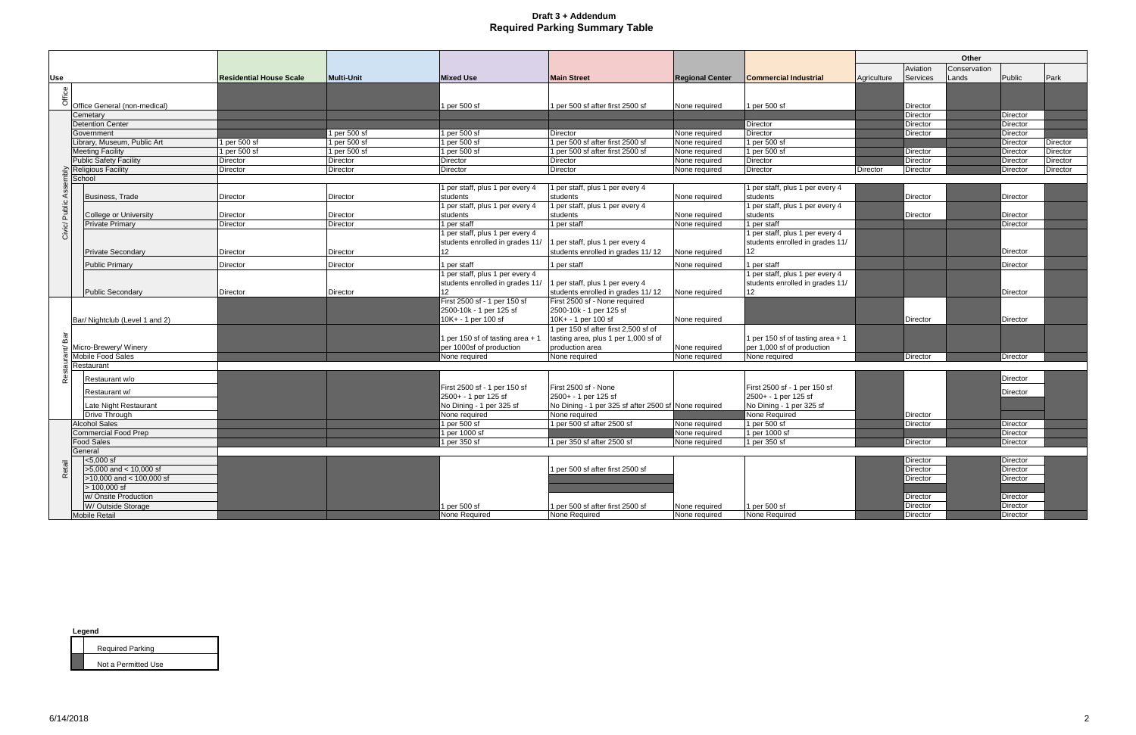|                   |                                                 |                                |                   |                                                      |                                                      |                        |                                                      | Other       |                 |              |                 |                 |
|-------------------|-------------------------------------------------|--------------------------------|-------------------|------------------------------------------------------|------------------------------------------------------|------------------------|------------------------------------------------------|-------------|-----------------|--------------|-----------------|-----------------|
|                   |                                                 |                                |                   |                                                      |                                                      |                        |                                                      |             | Aviation        | Conservation |                 |                 |
| Use               |                                                 | <b>Residential House Scale</b> | <b>Multi-Unit</b> | <b>Mixed Use</b>                                     | <b>Main Street</b>                                   | <b>Regional Center</b> | <b>Commercial Industrial</b>                         | Agriculture | Services        | Lands        | Public          | Park            |
|                   |                                                 |                                |                   |                                                      |                                                      |                        |                                                      |             |                 |              |                 |                 |
| Office            |                                                 |                                |                   |                                                      |                                                      |                        |                                                      |             |                 |              |                 |                 |
|                   | Office General (non-medical)                    |                                |                   | 1 per 500 sf                                         | 1 per 500 sf after first 2500 sf                     | None required          | 1 per 500 sf                                         |             | Director        |              |                 |                 |
|                   | Cemetary                                        |                                |                   |                                                      |                                                      |                        |                                                      |             | Director        |              | Director        |                 |
|                   | <b>Detention Center</b>                         |                                |                   |                                                      |                                                      |                        | Director                                             |             | Director        |              | Director        |                 |
|                   | Government                                      |                                | 1 per 500 sf      | 1 per 500 sf                                         | Director                                             | None required          | Director                                             |             | Director        |              | Director        |                 |
|                   | Library, Museum, Public Art                     | 1 per 500 sf                   | 1 per 500 sf      | 1 per 500 sf                                         | 1 per 500 sf after first 2500 sf                     | None required          | 1 per 500 sf                                         |             |                 |              | Director        | <b>Director</b> |
|                   | <b>Meeting Facility</b>                         | 1 per 500 sf                   | 1 per 500 sf      | 1 per 500 st                                         | 1 per 500 sf after first 2500 sf                     | None required          | 1 per 500 sf                                         |             | Director        |              | Director        | Director        |
|                   | <b>Public Safety Facility</b>                   | Director                       | <b>Director</b>   | <b>Director</b>                                      | <b>Director</b>                                      | None required          | <b>Director</b>                                      |             | Director        |              | Director        | <b>Director</b> |
|                   | <b>Religious Facility</b>                       | Director                       | Director          | <b>Director</b>                                      | <b>Director</b>                                      | None required          | <b>Director</b>                                      | Director    | <b>Director</b> |              | Director        | <b>Director</b> |
|                   | School                                          |                                |                   |                                                      |                                                      |                        |                                                      |             |                 |              |                 |                 |
|                   |                                                 |                                |                   | 1 per staff, plus 1 per every 4                      | 1 per staff, plus 1 per every 4                      |                        | 1 per staff, plus 1 per every 4                      |             |                 |              |                 |                 |
|                   | Business, Trade                                 | Director                       | Director          | students                                             | students                                             | None required          | students                                             |             | Director        |              | Director        |                 |
|                   |                                                 | Director                       | Director          | per staff, plus 1 per every 4<br>students            | 1 per staff, plus 1 per every 4<br>students          | None required          | 1 per staff, plus 1 per every 4<br>students          |             | Director        |              | Director        |                 |
|                   | College or University<br><b>Private Primary</b> | Director                       | Director          | per staff                                            | 1 per staff                                          | None required          | 1 per staff                                          |             |                 |              | Director        |                 |
| Civic/ Public Ass |                                                 |                                |                   | 1 per staff, plus 1 per every 4                      |                                                      |                        | 1 per staff, plus 1 per every 4                      |             |                 |              |                 |                 |
|                   |                                                 |                                |                   | students enrolled in grades 11/                      | per staff, plus 1 per every 4                        |                        | students enrolled in grades 11/                      |             |                 |              |                 |                 |
|                   | <b>Private Secondary</b>                        | Director                       | Director          | 12                                                   | students enrolled in grades 11/12                    | None required          | 12                                                   |             |                 |              | <b>Director</b> |                 |
|                   |                                                 |                                |                   |                                                      |                                                      |                        |                                                      |             |                 |              |                 |                 |
|                   | <b>Public Primary</b>                           | Director                       | Director          | l per staff                                          | I per staff                                          | None required          | 1 per staff                                          |             |                 |              | Director        |                 |
|                   |                                                 |                                |                   | 1 per staff, plus 1 per every 4                      |                                                      |                        | 1 per staff, plus 1 per every 4                      |             |                 |              |                 |                 |
|                   |                                                 |                                |                   | students enrolled in grades 11/                      | 1 per staff, plus 1 per every 4                      |                        | students enrolled in grades 11/                      |             |                 |              |                 |                 |
|                   | Public Secondary                                | Director                       | Director          | 12 <sup>°</sup><br>First 2500 sf - 1 per 150 sf      | students enrolled in grades 11/12                    | None required          | 12                                                   |             |                 |              | Director        |                 |
|                   |                                                 |                                |                   |                                                      | First 2500 sf - None required                        |                        |                                                      |             |                 |              |                 |                 |
|                   |                                                 |                                |                   | 2500-10k - 1 per 125 sf                              | 2500-10k - 1 per 125 sf<br>10K+ - 1 per 100 sf       |                        |                                                      |             |                 |              |                 |                 |
|                   | Bar/ Nightclub (Level 1 and 2)                  |                                |                   | 10K+ - 1 per 100 sf                                  | 1 per 150 sf after first 2,500 sf of                 | None required          |                                                      |             | Director        |              | Director        |                 |
| នី                |                                                 |                                |                   | 1 per 150 sf of tasting area + 1                     | tasting area, plus 1 per 1,000 sf of                 |                        | 1 per 150 sf of tasting area + 1                     |             |                 |              |                 |                 |
|                   | Micro-Brewery/ Winery                           |                                |                   | per 1000sf of production                             | production area                                      | None required          | per 1,000 sf of production                           |             |                 |              |                 |                 |
|                   | <b>Mobile Food Sales</b>                        |                                |                   | None required                                        | None required                                        | None required          | None required                                        |             | Director        |              | Director        |                 |
|                   | Restaurant                                      |                                |                   |                                                      |                                                      |                        |                                                      |             |                 |              |                 |                 |
|                   |                                                 |                                |                   |                                                      |                                                      |                        |                                                      |             |                 |              |                 |                 |
| ൙                 | Restaurant w/o                                  |                                |                   |                                                      |                                                      |                        |                                                      |             |                 |              | Director        |                 |
|                   | Restaurant w/                                   |                                |                   | First 2500 sf - 1 per 150 sf<br>2500+ - 1 per 125 sf | First 2500 sf - None<br>2500+ - 1 per 125 sf         |                        | First 2500 sf - 1 per 150 sf<br>2500+ - 1 per 125 sf |             |                 |              | Director        |                 |
|                   | Late Night Restaurant                           |                                |                   | No Dining - 1 per 325 sf                             | No Dining - 1 per 325 sf after 2500 sf None required |                        | No Dining - 1 per 325 sf                             |             |                 |              |                 |                 |
|                   | <b>Drive Through</b>                            |                                |                   | None required                                        | None required                                        |                        | None Required                                        |             | Director        |              |                 |                 |
|                   | <b>Alcohol Sales</b>                            |                                |                   | l per 500 sf                                         | 1 per 500 sf after 2500 sf                           | None required          | 1 per 500 sf                                         |             | Director        |              | Director        |                 |
|                   | <b>Commercial Food Prep</b>                     |                                |                   | per 1000 sf                                          |                                                      | None required          | 1 per 1000 sf                                        |             |                 |              | Director        |                 |
|                   | <b>Food Sales</b>                               |                                |                   | 1 per 350 sf                                         | 1 per 350 sf after 2500 sf                           | None required          | 1 per 350 sf                                         |             | Director        |              | <b>Director</b> |                 |
|                   | General                                         |                                |                   |                                                      |                                                      |                        |                                                      |             |                 |              |                 |                 |
|                   | <5.000 sf                                       |                                |                   |                                                      |                                                      |                        |                                                      |             | Director        |              | Director        |                 |
| Retail            | $>5,000$ and < 10,000 sf                        |                                |                   |                                                      | 1 per 500 sf after first 2500 sf                     |                        |                                                      |             | Director        |              | Director        |                 |
|                   | >10,000 and < 100,000 sf                        |                                |                   |                                                      |                                                      |                        |                                                      |             | <b>Director</b> |              | Director        |                 |
|                   | $> 100,000$ sf                                  |                                |                   |                                                      |                                                      |                        |                                                      |             |                 |              |                 |                 |
|                   | w/ Onsite Production                            |                                |                   |                                                      |                                                      |                        |                                                      |             | Director        |              | Director        |                 |
|                   | W/ Outside Storage                              |                                |                   | l per 500 sf                                         | 1 per 500 sf after first 2500 sf                     | None required          | per 500 sf                                           |             | Director        |              | Director        |                 |
|                   | <b>Mobile Retail</b>                            |                                |                   | <b>None Required</b>                                 | None Required                                        | None required          | None Required                                        |             | Director        |              | Director        |                 |

| <b>Required Parking</b> |
|-------------------------|
| Not a Permitted Use     |

|--|--|--|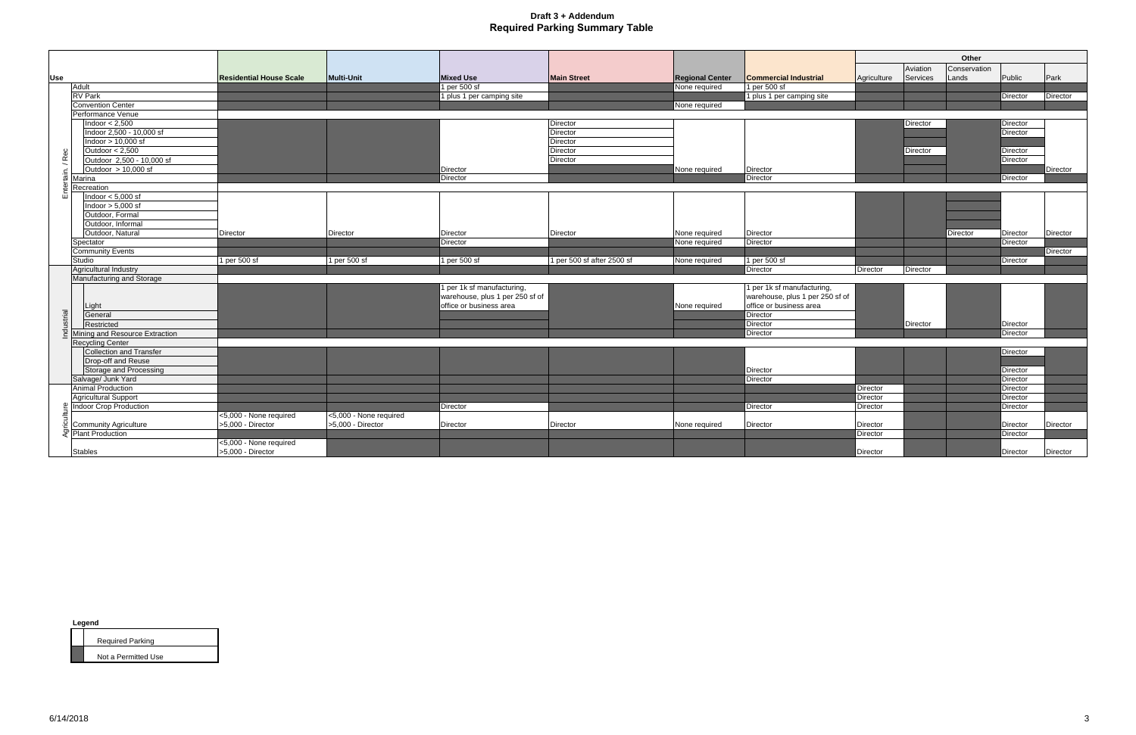|            |                                |                                |                        |                                 |                            |                        |                                 |                 |          | Other        |                 |                 |
|------------|--------------------------------|--------------------------------|------------------------|---------------------------------|----------------------------|------------------------|---------------------------------|-----------------|----------|--------------|-----------------|-----------------|
|            |                                |                                |                        |                                 |                            |                        |                                 |                 | Aviation | Conservation |                 |                 |
| <b>Use</b> |                                | <b>Residential House Scale</b> | Multi-Unit             | <b>Mixed Use</b>                | <b>Main Street</b>         | <b>Regional Center</b> | <b>Commercial Industrial</b>    | Agriculture     | Services | Lands        | Public          | Park            |
|            | Adult                          |                                |                        | 1 per 500 sf                    |                            | None required          | 1 per 500 sf                    |                 |          |              |                 |                 |
|            | <b>RV</b> Park                 |                                |                        | 1 plus 1 per camping site       |                            |                        | 1 plus 1 per camping site       |                 |          |              | Director        | Director        |
|            | <b>Convention Center</b>       |                                |                        |                                 |                            | None required          |                                 |                 |          |              |                 |                 |
|            | Performance Venue              |                                |                        |                                 |                            |                        |                                 |                 |          |              |                 |                 |
|            | Indoor $< 2,500$               |                                |                        |                                 | Director                   |                        |                                 |                 | Director |              | Director        |                 |
|            | Indoor 2,500 - 10,000 sf       |                                |                        |                                 | Director                   |                        |                                 |                 |          |              | Director        |                 |
|            | Indoor $> 10,000$ sf           |                                |                        |                                 | Director                   |                        |                                 |                 |          |              |                 |                 |
|            | Outdoor $< 2,500$              |                                |                        |                                 | <b>Director</b>            |                        |                                 |                 | Director |              | Director        |                 |
|            | Outdoor 2,500 - 10,000 sf      |                                |                        |                                 | <b>Director</b>            |                        |                                 |                 |          |              | Director        |                 |
| ain. / Rec | Outdoor $> 10,000$ sf          |                                |                        | Director                        |                            | None required          | Director                        |                 |          |              |                 | <b>Director</b> |
|            | Marina                         |                                |                        | Director                        |                            |                        | Director                        |                 |          |              | Director        |                 |
|            | Recreation                     |                                |                        |                                 |                            |                        |                                 |                 |          |              |                 |                 |
| 面          | Indoor $< 5,000$ sf            |                                |                        |                                 |                            |                        |                                 |                 |          |              |                 |                 |
|            | Indoor $> 5,000$ sf            |                                |                        |                                 |                            |                        |                                 |                 |          |              |                 |                 |
|            | Outdoor, Formal                |                                |                        |                                 |                            |                        |                                 |                 |          |              |                 |                 |
|            | Outdoor, Informal              |                                |                        |                                 |                            |                        |                                 |                 |          |              |                 |                 |
|            | Outdoor, Natural               | Director                       | Director               | Director                        | Director                   | None required          | Director                        |                 |          | Director     | <b>Director</b> | Director        |
|            | Spectator                      |                                |                        | Director                        |                            | None required          | Director                        |                 |          |              | Director        |                 |
|            | <b>Community Events</b>        |                                |                        |                                 |                            |                        |                                 |                 |          |              |                 | <b>Director</b> |
|            | Studio                         | 1 per 500 sf                   | 1 per 500 sf           | 1 per 500 sf                    | 1 per 500 sf after 2500 sf | None required          | 1 per 500 sf                    |                 |          |              | Director        |                 |
|            | Agricultural Industry          |                                |                        |                                 |                            |                        | Director                        | <b>Director</b> | Director |              |                 |                 |
|            | Manufacturing and Storage      |                                |                        |                                 |                            |                        |                                 |                 |          |              |                 |                 |
|            |                                |                                |                        | per 1k sf manufacturing,        |                            |                        | 1 per 1k sf manufacturing,      |                 |          |              |                 |                 |
|            |                                |                                |                        | warehouse, plus 1 per 250 sf of |                            |                        | warehouse, plus 1 per 250 sf of |                 |          |              |                 |                 |
|            | Light                          |                                |                        | office or business area         |                            | None required          | office or business area         |                 |          |              |                 |                 |
| ndustrial  | General                        |                                |                        |                                 |                            |                        | Director                        |                 |          |              |                 |                 |
|            | Restricted                     |                                |                        |                                 |                            |                        | Director                        |                 | Director |              | Director        |                 |
|            | Mining and Resource Extraction |                                |                        |                                 |                            |                        | Director                        |                 |          |              | Director        |                 |
|            | <b>Recycling Center</b>        |                                |                        |                                 |                            |                        |                                 |                 |          |              |                 |                 |
|            | Collection and Transfer        |                                |                        |                                 |                            |                        |                                 |                 |          |              | Director        |                 |
|            | Drop-off and Reuse             |                                |                        |                                 |                            |                        |                                 |                 |          |              |                 |                 |
|            | <b>Storage and Processing</b>  |                                |                        |                                 |                            |                        | Director                        |                 |          |              | Director        |                 |
|            | Salvage/ Junk Yard             |                                |                        |                                 |                            |                        | Director                        |                 |          |              | Director        |                 |
|            | Animal Production              |                                |                        |                                 |                            |                        |                                 | Director        |          |              | Director        |                 |
|            | <b>Agricultural Support</b>    |                                |                        |                                 |                            |                        |                                 | Director        |          |              | Director        |                 |
|            | <b>Indoor Crop Production</b>  |                                |                        | Director                        |                            |                        | <b>Director</b>                 | Director        |          |              | Director        |                 |
|            |                                | <5,000 - None required         | <5,000 - None required |                                 |                            |                        |                                 |                 |          |              |                 |                 |
|            | <b>Community Agriculture</b>   | >5,000 - Director              | >5,000 - Director      | <b>Director</b>                 | <b>Director</b>            | None required          | Director                        | Director        |          |              | <b>Director</b> | Director        |
|            | <b>Plant Production</b>        |                                |                        |                                 |                            |                        |                                 | Director        |          |              | Director        |                 |
|            |                                | <5,000 - None required         |                        |                                 |                            |                        |                                 |                 |          |              |                 |                 |
|            | <b>Stables</b>                 | >5,000 - Director              |                        |                                 |                            |                        |                                 | Director        |          |              | Director        | Director        |

| <b>Required Parking</b> |
|-------------------------|
| Not a Permitted Use     |

**Legend**